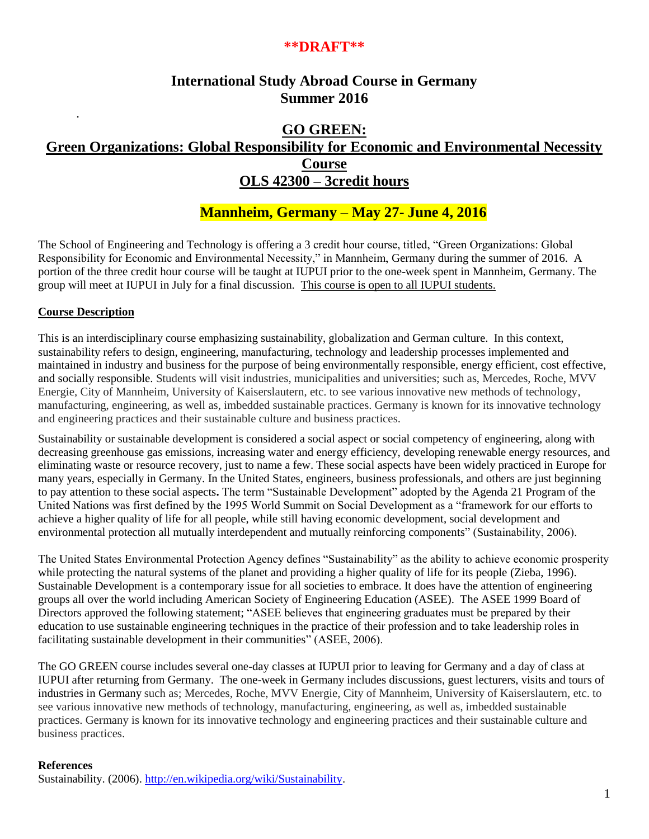## **\*\*DRAFT\*\***

## **International Study Abroad Course in Germany Summer 2016**

## **GO GREEN: Green Organizations: Global Responsibility for Economic and Environmental Necessity Course OLS 42300 – 3credit hours**

# **Mannheim, Germany** – **May 27- June 4, 2016**

The School of Engineering and Technology is offering a 3 credit hour course, titled, "Green Organizations: Global Responsibility for Economic and Environmental Necessity," in Mannheim, Germany during the summer of 2016. A portion of the three credit hour course will be taught at IUPUI prior to the one-week spent in Mannheim, Germany. The group will meet at IUPUI in July for a final discussion. This course is open to all IUPUI students.

## **Course Description**

.

This is an interdisciplinary course emphasizing sustainability, globalization and German culture. In this context, sustainability refers to design, engineering, manufacturing, technology and leadership processes implemented and maintained in industry and business for the purpose of being environmentally responsible, energy efficient, cost effective, and socially responsible. Students will visit industries, municipalities and universities; such as, Mercedes, Roche, MVV Energie, City of Mannheim, University of Kaiserslautern, etc. to see various innovative new methods of technology, manufacturing, engineering, as well as, imbedded sustainable practices. Germany is known for its innovative technology and engineering practices and their sustainable culture and business practices.

Sustainability or sustainable development is considered a social aspect or social competency of engineering, along with decreasing greenhouse gas emissions, increasing water and energy efficiency, developing renewable energy resources, and eliminating waste or resource recovery, just to name a few. These social aspects have been widely practiced in Europe for many years, especially in Germany. In the United States, engineers, business professionals, and others are just beginning to pay attention to these social aspects**.** The term "Sustainable Development" adopted by the Agenda 21 Program of the United Nations was first defined by the 1995 World Summit on Social Development as a "framework for our efforts to achieve a higher quality of life for all people, while still having economic development, social development and environmental protection all mutually interdependent and mutually reinforcing components" (Sustainability, 2006).

The United States Environmental Protection Agency defines "Sustainability" as the ability to achieve economic prosperity while protecting the natural systems of the planet and providing a higher quality of life for its people (Zieba, 1996). Sustainable Development is a contemporary issue for all societies to embrace. It does have the attention of engineering groups all over the world including American Society of Engineering Education (ASEE). The ASEE 1999 Board of Directors approved the following statement; "ASEE believes that engineering graduates must be prepared by their education to use sustainable engineering techniques in the practice of their profession and to take leadership roles in facilitating sustainable development in their communities" (ASEE, 2006).

The GO GREEN course includes several one-day classes at IUPUI prior to leaving for Germany and a day of class at IUPUI after returning from Germany. The one-week in Germany includes discussions, guest lecturers, visits and tours of industries in Germany such as; Mercedes, Roche, MVV Energie, City of Mannheim, University of Kaiserslautern, etc. to see various innovative new methods of technology, manufacturing, engineering, as well as, imbedded sustainable practices. Germany is known for its innovative technology and engineering practices and their sustainable culture and business practices.

#### **References**

Sustainability. (2006). [http://en.wikipedia.org/wiki/Sustainability.](http://en.wikipedia.org/wiki/Sustainability)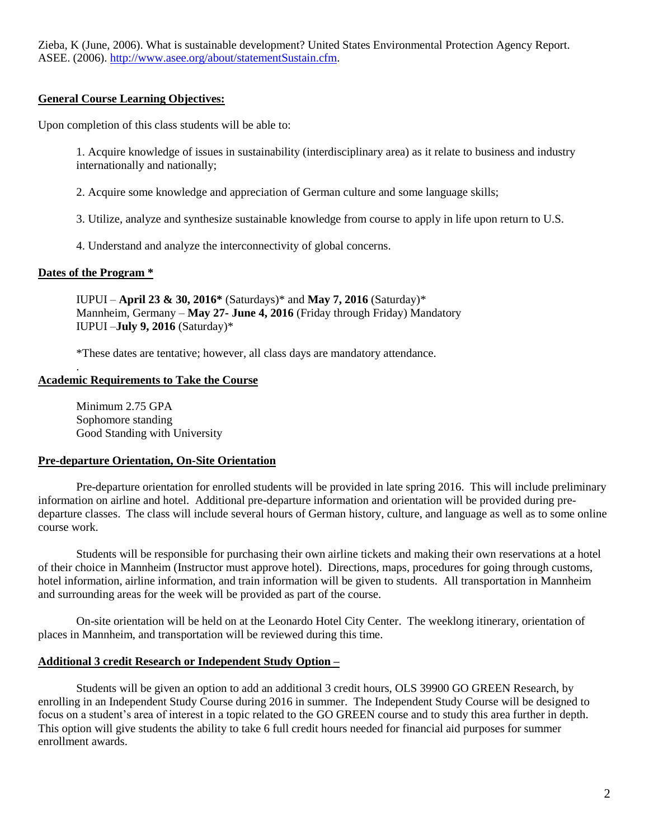Zieba, K (June, 2006). What is sustainable development? United States Environmental Protection Agency Report. ASEE. (2006). [http://www.asee.org/about/statementSustain.cfm.](http://www.asee.org/about/statementSustain.cfm)

#### **General Course Learning Objectives:**

Upon completion of this class students will be able to:

1. Acquire knowledge of issues in sustainability (interdisciplinary area) as it relate to business and industry internationally and nationally;

2. Acquire some knowledge and appreciation of German culture and some language skills;

3. Utilize, analyze and synthesize sustainable knowledge from course to apply in life upon return to U.S.

4. Understand and analyze the interconnectivity of global concerns.

#### **Dates of the Program \***

.

IUPUI – **April 23 & 30, 2016\*** (Saturdays)\* and **May 7, 2016** (Saturday)\* Mannheim, Germany – **May 27- June 4, 2016** (Friday through Friday) Mandatory IUPUI –**July 9, 2016** (Saturday)\*

\*These dates are tentative; however, all class days are mandatory attendance.

#### **Academic Requirements to Take the Course**

Minimum 2.75 GPA Sophomore standing Good Standing with University

#### **Pre-departure Orientation, On-Site Orientation**

Pre-departure orientation for enrolled students will be provided in late spring 2016. This will include preliminary information on airline and hotel. Additional pre-departure information and orientation will be provided during predeparture classes. The class will include several hours of German history, culture, and language as well as to some online course work.

Students will be responsible for purchasing their own airline tickets and making their own reservations at a hotel of their choice in Mannheim (Instructor must approve hotel). Directions, maps, procedures for going through customs, hotel information, airline information, and train information will be given to students. All transportation in Mannheim and surrounding areas for the week will be provided as part of the course.

On-site orientation will be held on at the Leonardo Hotel City Center. The weeklong itinerary, orientation of places in Mannheim, and transportation will be reviewed during this time.

## **Additional 3 credit Research or Independent Study Option –**

Students will be given an option to add an additional 3 credit hours, OLS 39900 GO GREEN Research, by enrolling in an Independent Study Course during 2016 in summer. The Independent Study Course will be designed to focus on a student's area of interest in a topic related to the GO GREEN course and to study this area further in depth. This option will give students the ability to take 6 full credit hours needed for financial aid purposes for summer enrollment awards.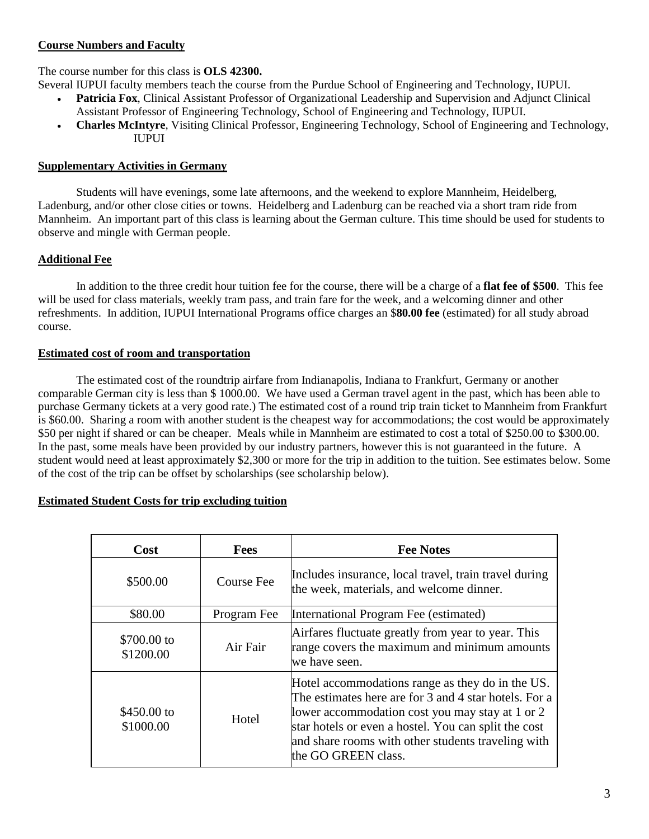#### **Course Numbers and Faculty**

#### The course number for this class is **OLS 42300.**

Several IUPUI faculty members teach the course from the Purdue School of Engineering and Technology, IUPUI.

- **Patricia Fox**, Clinical Assistant Professor of Organizational Leadership and Supervision and Adjunct Clinical Assistant Professor of Engineering Technology, School of Engineering and Technology, IUPUI.
- **Charles McIntyre**, Visiting Clinical Professor, Engineering Technology, School of Engineering and Technology, IUPUI

#### **Supplementary Activities in Germany**

Students will have evenings, some late afternoons, and the weekend to explore Mannheim, Heidelberg, Ladenburg, and/or other close cities or towns. Heidelberg and Ladenburg can be reached via a short tram ride from Mannheim. An important part of this class is learning about the German culture. This time should be used for students to observe and mingle with German people.

## **Additional Fee**

In addition to the three credit hour tuition fee for the course, there will be a charge of a **flat fee of \$500**. This fee will be used for class materials, weekly tram pass, and train fare for the week, and a welcoming dinner and other refreshments. In addition, IUPUI International Programs office charges an \$**80.00 fee** (estimated) for all study abroad course.

#### **Estimated cost of room and transportation**

The estimated cost of the roundtrip airfare from Indianapolis, Indiana to Frankfurt, Germany or another comparable German city is less than \$ 1000.00. We have used a German travel agent in the past, which has been able to purchase Germany tickets at a very good rate.) The estimated cost of a round trip train ticket to Mannheim from Frankfurt is \$60.00. Sharing a room with another student is the cheapest way for accommodations; the cost would be approximately \$50 per night if shared or can be cheaper. Meals while in Mannheim are estimated to cost a total of \$250.00 to \$300.00. In the past, some meals have been provided by our industry partners, however this is not guaranteed in the future. A student would need at least approximately \$2,300 or more for the trip in addition to the tuition. See estimates below. Some of the cost of the trip can be offset by scholarships (see scholarship below).

#### **Estimated Student Costs for trip excluding tuition**

| Cost                     | <b>Fees</b>       | <b>Fee Notes</b>                                                                                                                                                                                                                                                                                  |
|--------------------------|-------------------|---------------------------------------------------------------------------------------------------------------------------------------------------------------------------------------------------------------------------------------------------------------------------------------------------|
| \$500.00                 | <b>Course Fee</b> | Includes insurance, local travel, train travel during<br>the week, materials, and welcome dinner.                                                                                                                                                                                                 |
| \$80.00                  | Program Fee       | International Program Fee (estimated)                                                                                                                                                                                                                                                             |
| \$700.00 to<br>\$1200.00 | Air Fair          | Airfares fluctuate greatly from year to year. This<br>range covers the maximum and minimum amounts<br>we have seen.                                                                                                                                                                               |
| \$450.00 to<br>\$1000.00 | Hotel             | Hotel accommodations range as they do in the US.<br>The estimates here are for 3 and 4 star hotels. For a<br>lower accommodation cost you may stay at 1 or 2<br>star hotels or even a hostel. You can split the cost<br>and share rooms with other students traveling with<br>the GO GREEN class. |